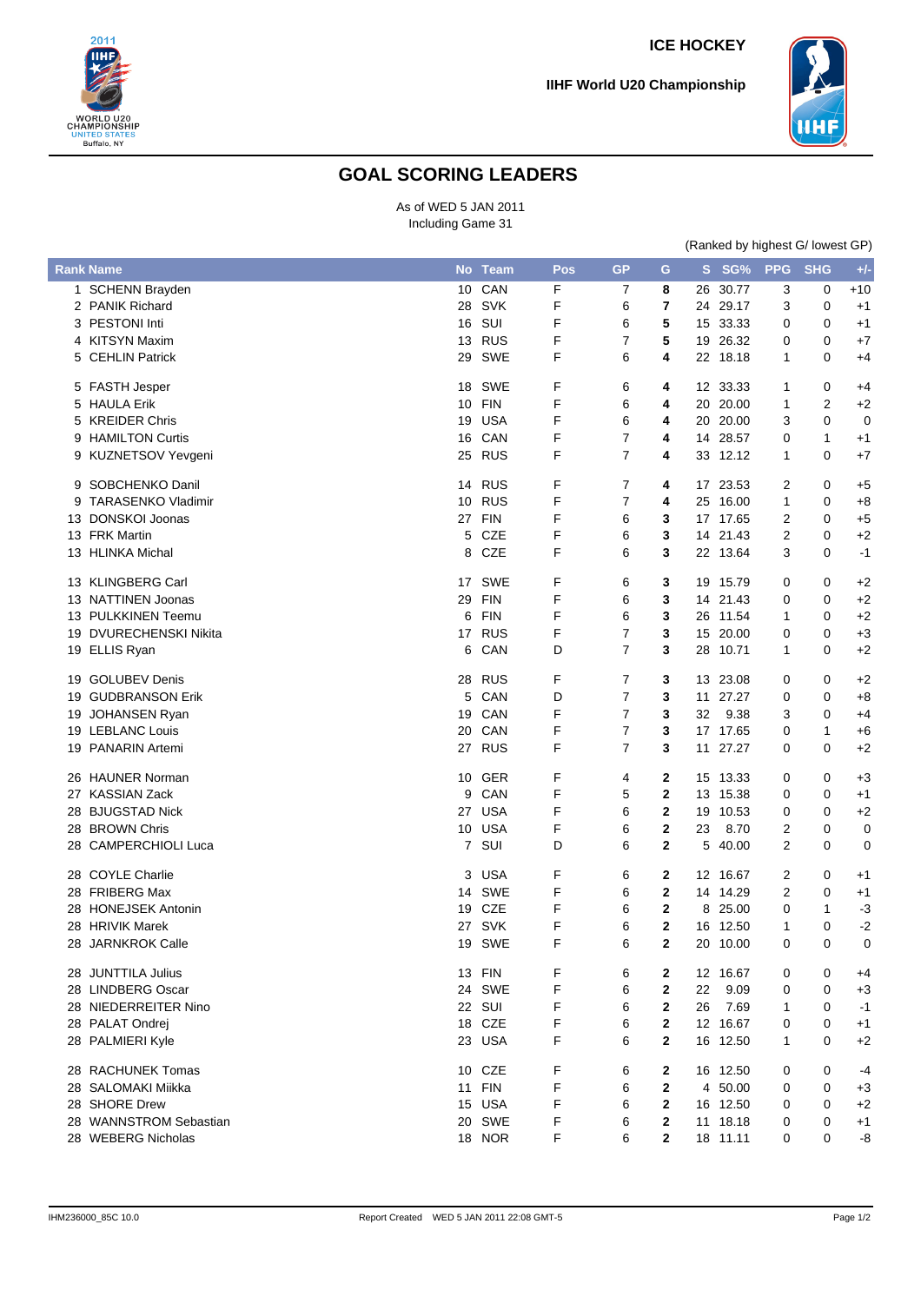

**IIHF World U20 Championship**



## **GOAL SCORING LEADERS**

As of WED 5 JAN 2011 Including Game 31

|    |                           | (Ranked by highest G/ lowest GP) |            |     |                |                         |    |          |              |            |         |
|----|---------------------------|----------------------------------|------------|-----|----------------|-------------------------|----|----------|--------------|------------|---------|
|    | <b>Rank Name</b>          |                                  | No Team    | Pos | <b>GP</b>      | G                       |    | S SG%    | <b>PPG</b>   | <b>SHG</b> | $+/-$   |
|    | 1 SCHENN Brayden          | 10                               | CAN        | F   | 7              | 8                       | 26 | 30.77    | 3            | 0          | $+10$   |
|    | 2 PANIK Richard           | 28                               | <b>SVK</b> | F   | 6              | 7                       |    | 24 29.17 | 3            | 0          | $+1$    |
|    | 3 PESTONI Inti            |                                  | 16 SUI     | F   | 6              | 5                       |    | 15 33.33 | 0            | 0          | $+1$    |
|    | 4 KITSYN Maxim            | 13                               | RUS        | F   | 7              | 5                       | 19 | 26.32    | 0            | 0          | +7      |
|    | 5 CEHLIN Patrick          | 29                               | SWE        | F   | 6              | 4                       |    | 22 18.18 | 1            | 0          | +4      |
|    | 5 FASTH Jesper            | 18                               | SWE        | F   | 6              | 4                       |    | 12 33.33 | 1            | 0          | +4      |
|    | 5 HAULA Erik              | 10                               | FIN        | F   | 6              | 4                       | 20 | 20.00    | 1            | 2          | $+2$    |
|    | 5 KREIDER Chris           | 19                               | <b>USA</b> | F   | 6              | 4                       | 20 | 20.00    | 3            | 0          | 0       |
| 9  | <b>HAMILTON Curtis</b>    | 16                               | CAN        | F   | 7              | 4                       | 14 | 28.57    | 0            | 1          | $+1$    |
|    | 9 KUZNETSOV Yevgeni       |                                  | 25 RUS     | F   | $\overline{7}$ | 4                       |    | 33 12.12 | $\mathbf{1}$ | 0          | +7      |
|    | 9 SOBCHENKO Danil         | 14                               | <b>RUS</b> | F   | 7              | 4                       | 17 | 23.53    | 2            | 0          | $+5$    |
| 9  | <b>TARASENKO Vladimir</b> | 10                               | <b>RUS</b> | F   | 7              | 4                       | 25 | 16.00    | 1            | 0          | $+8$    |
| 13 | <b>DONSKOI Joonas</b>     |                                  | 27 FIN     | F   | 6              | 3                       |    | 17 17.65 | 2            | 0          | $+5$    |
|    | 13 FRK Martin             | 5                                | CZE        | F   | 6              | 3                       | 14 | 21.43    | 2            | 0          | $+2$    |
|    | 13 HLINKA Michal          | 8                                | <b>CZE</b> | F   | 6              | 3                       |    | 22 13.64 | 3            | 0          | $-1$    |
|    | 13 KLINGBERG Carl         |                                  | 17 SWE     | F   | 6              | 3                       |    | 19 15.79 | 0            | 0          | +2      |
|    | 13 NATTINEN Joonas        | 29                               | <b>FIN</b> | F   | 6              | 3                       |    | 14 21.43 | 0            | 0          | $+2$    |
|    | 13 PULKKINEN Teemu        | 6                                | <b>FIN</b> | F   | 6              | 3                       | 26 | 11.54    | 1            | 0          | $+2$    |
|    | 19 DVURECHENSKI Nikita    | 17                               | <b>RUS</b> | F   | 7              | 3                       | 15 | 20.00    | 0            | 0          | $+3$    |
|    | 19 ELLIS Ryan             | 6                                | CAN        | D   | 7              | 3                       | 28 | 10.71    | 1            | 0          | $+2$    |
|    | 19 GOLUBEV Denis          | 28                               | <b>RUS</b> | F   | 7              | 3                       | 13 | 23.08    | 0            | 0          | $+2$    |
|    | 19 GUDBRANSON Erik        | 5                                | CAN        | D   | 7              | 3                       | 11 | 27.27    | 0            | 0          | $+8$    |
|    | 19 JOHANSEN Ryan          | 19                               | CAN        | F   | 7              | 3                       | 32 | 9.38     | 3            | 0          | +4      |
|    | 19 LEBLANC Louis          | 20                               | CAN        | F   | 7              | 3                       |    | 17 17.65 | 0            | 1          | $+6$    |
|    | 19 PANARIN Artemi         |                                  | 27 RUS     | F   | 7              | 3                       |    | 11 27.27 | 0            | 0          | $+2$    |
|    | 26 HAUNER Norman          | 10                               | GER        | F   | 4              | 2                       |    | 15 13.33 | 0            | 0          | $+3$    |
|    | 27 KASSIAN Zack           | 9                                | CAN        | F   | 5              | $\mathbf{2}$            | 13 | 15.38    | 0            | 0          | $^{+1}$ |
|    | 28 BJUGSTAD Nick          | 27                               | <b>USA</b> | F   | 6              | $\mathbf{2}$            | 19 | 10.53    | 0            | 0          | $+2$    |
|    | 28 BROWN Chris            | 10                               | <b>USA</b> | F   | 6              | $\mathbf{2}$            | 23 | 8.70     | 2            | 0          | 0       |
|    | 28 CAMPERCHIOLI Luca      |                                  | 7 SUI      | D   | 6              | 2                       | 5  | 40.00    | 2            | 0          | 0       |
|    | 28 COYLE Charlie          | 3                                | <b>USA</b> | F   | 6              | $\mathbf{2}$            |    | 12 16.67 | 2            | 0          | $+1$    |
|    | 28 FRIBERG Max            | 14                               | <b>SWE</b> | F   | 6              | $\mathbf{2}$            | 14 | 14.29    | 2            | 0          | $+1$    |
|    | 28 HONEJSEK Antonin       | 19                               | <b>CZE</b> | F   | 6              | 2                       | 8  | 25.00    | 0            | 1          | $-3$    |
|    | 28 HRIVIK Marek           |                                  | 27 SVK     | F   | 6              | 2                       |    | 16 12.50 | 1            | 0          | $-2$    |
|    | 28 JARNKROK Calle         |                                  | 19 SWE     | F   | 6              | 2                       |    | 20 10.00 | 0            | 0          | 0       |
|    | 28 JUNTTILA Julius        |                                  | 13 FIN     | F   | 6              | 2                       |    | 12 16.67 | 0            | 0          | +4      |
|    | 28 LINDBERG Oscar         |                                  | 24 SWE     | F   | 6              | 2                       | 22 | 9.09     | 0            | 0          | $+3$    |
|    | 28 NIEDERREITER Nino      |                                  | 22 SUI     | F   | 6              | $\overline{\mathbf{2}}$ | 26 | 7.69     | 1            | 0          | -1      |
|    | 28 PALAT Ondrej           |                                  | 18 CZE     | F   | 6              | 2                       |    | 12 16.67 | 0            | 0          | $+1$    |
|    | 28 PALMIERI Kyle          |                                  | 23 USA     | F   | 6              | 2                       |    | 16 12.50 | 1            | 0          | +2      |
|    | 28 RACHUNEK Tomas         | 10                               | CZE        | F   | 6              | $\mathbf{2}$            |    | 16 12.50 | 0            | 0          | -4      |
|    | 28 SALOMAKI Miikka        | 11                               | <b>FIN</b> | F   | 6              | 2                       | 4  | 50.00    | 0            | 0          | $+3$    |
|    | 28 SHORE Drew             |                                  | 15 USA     | F   | 6              | $\mathbf{2}$            | 16 | 12.50    | 0            | 0          | $+2$    |
|    | 28 WANNSTROM Sebastian    |                                  | 20 SWE     | F   | 6              | 2                       |    | 11 18.18 | 0            | 0          | $^{+1}$ |
|    | 28 WEBERG Nicholas        |                                  | 18 NOR     | F   | 6              | 2                       |    | 18 11.11 | 0            | 0          | -8      |